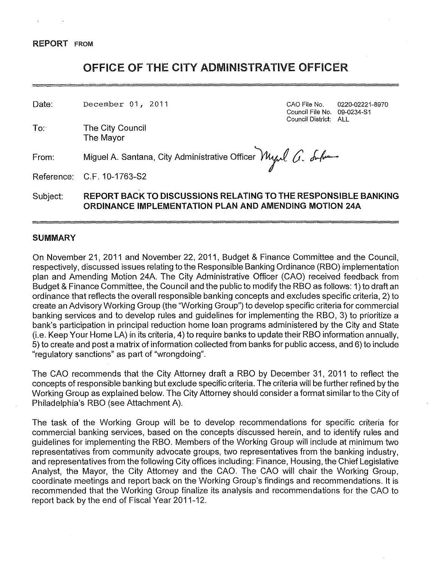## OFFICE OF THE CITY ADMINISTRATIVE OFFICER

Date: December 01, 2011 CAD File No. *0220-02221-8970*

To: The City Council The Mayor

Council File No. 09-0234-S1 Council District: ALL

From: Miguel A. Santana, City Administrative Officer *My (C. b-frame* 

Reference: C.F.10-1763-S2

### Subject: REPORT BACK TO DISCUSSIONS RELATING TO THE RESPONSIBLE BANKING ORDINANCE IMPLEMENTATION PLAN AND AMENDING MOTION 24A

### SUMMARY

On November 21, 2011 and November 22, 2011, Budget & Finance Committee and the Council, respectively, discussed issues relating to the Responsible Banking Ordinance (RBO) implementation plan and Amending Motion 24A. The City Administrative Officer (CAO) received feedback from Budget & Finance Committee, the Council and the public to modify the RBO as follows: 1) to draft an ordinance that reflects the overall responsible banking concepts and excludes specific criteria, 2) to create an Advisory Working Group (the "Working Group") to develop specific criteria for commercial banking services and to develop rules and guidelines for implementing the RBO, 3) to prioritize a bank's participation in principal reduction home loan programs administered by the City and State (i.e. Keep Your Home LA) in its criteria, 4) to require banks to update their RBO information annually, 5) to create and post a matrix of information collected from banks for public access, and 6) to include "regulatory sanctions" as part of "wrongdoing".

The CAO recommends that the City Attorney draft a RBO by December 31, 2011 to reflect the concepts of responsible banking but exclude specific criteria. The criteria will be further refined by the Working Group as explained below. The City Attorney should consider a format similar to the City of Philadelphia's RBO (see Attachment A).

The task of the Working Group will be to develop recommendations for specific criteria for commercial banking services, based on the concepts discussed herein, and to identify rules and guidelines for implementing the RBO. Members of the Working Group will include at minimum two representatives from community advocate groups, two representatives from the banking industry, and representatives from the following City offices including: Finance, Housing, the Chief Legislative Analyst, the Mayor, the City Attorney and the CAO. The CAO will chair the Working Group, coordinate meetings and report back on the Working Group's findings and recommendations. It is recommended that the Working Group finalize its analysis and recommendations for the CAO to report back by the end of Fiscal Year 2011-12.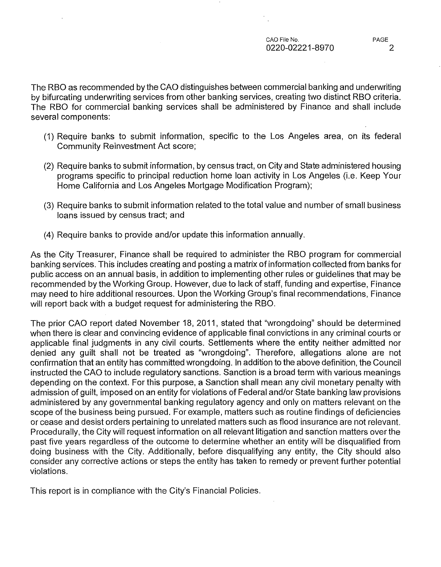The RBO as recommended by the CAO distinguishes between commercial banking and underwriting by bifurcating underwriting services from other banking services, creating two distinct RBO criteria. The RBO for commercial banking services shall be administered by Finance and shall include several components:

- (1) Require banks to submit information, specific to the Los Angeles area, on its federal Community Reinvestment Act score;
- (2) Require banks to submit information, by census tract, on City and State administered housing programs specific to principal reduction home loan activity in Los Angeles (i.e. Keep Your Home California and Los Angeles Mortgage Modification Program);
- (3) Require banks to submit information related to the total value and number of small business loans issued by census tract; and
- (4) Require banks to provide and/or update this information annually.

As the City Treasurer, Finance shall be required to administer the RBO program for commercial banking services. This includes creating and posting a matrix of information collected from banks for public access on an annual basis, in addition to implementing other rules or guidelines that may be recommended by the Working Group. However, due to lack of staff, funding and expertise, Finance may need to hire additional resources. Upon the Working Group's final recommendations, Finance will report back with a budget request for administering the RBO.

The prior CAO report dated November 18, 2011, stated that "wrongdoing" should be determined when there is clear and convincing evidence of applicable final convictions in any criminal courts or applicable final judgments in any civil courts. Settlements where the entity neither admitted nor denied any guilt shall not be treated as "wrongdoing". Therefore, allegations alone are not confirmation that an entity has committed wrongdoing. In addition to the above definition, the Council instructed the CAO to include regulatory sanctions. Sanction is a broad term with various meanings depending on the context. For this purpose, a Sanction shall mean any civil monetary penalty with admission of guilt, imposed on an entity for violations of Federal and/or State banking law provisions administered by any governmental banking regulatory agency and only on matters relevant on the scope of the business being pursued. For example, matters such as routine findings of deficiencies or cease and desist orders pertaining to unrelated matters such as flood insurance are not relevant. Procedurally, the City will request information on all relevant litigation and sanction matters over the past five years regardless of the outcome to determine whether an entity will be disqualified from doing business with the City. Additionally, before disqualifying any entity, the City should also consider any corrective actions or steps the entity has taken to remedy or prevent further potential violations.

This report is in compliance with the City's Financial Policies.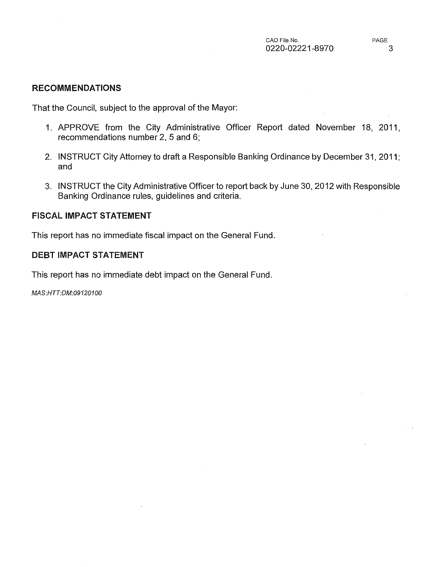#### **RECOMMENDATIONS**

That the Council, subject to the approval of the Mayor:

- 1. APPROVE from the City Administrative Officer Report dated November 18, 2011, recommendations number 2, 5 and 6;
- 2. INSTRUCT City Attorney to draft a Responsible Banking Ordinance by December 31,2011; and
- 3. INSTRUCT the City Administrative Officer to report back by June 30, 2012 with Responsible Banking Ordinance rules, guidelines and criteria.

#### **FISCAL IMPACT STATEMENT**

This report has no immediate fiscal impact on the General Fund.

#### **DEBT IMPACT STATEMENT**

This report has no immediate debt impact on the General Fund.

*MAS:HTT:DM:09120100*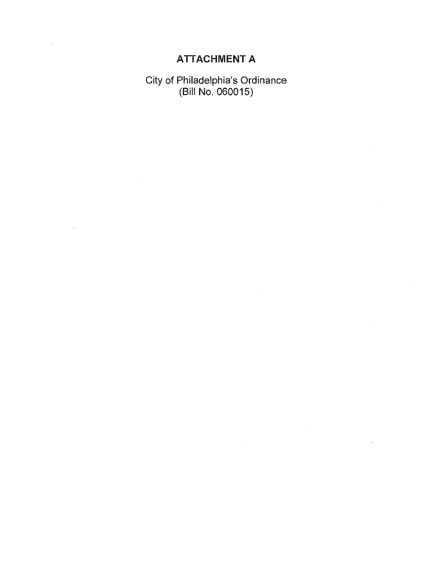## ATTACHMENT A

City of Philadelphia's Ordinance (Bill No. 060015)

 $\sim 10^{11}$ 

 $\mathcal{A}^{\mathcal{A}}$ 

 $\overline{\phantom{a}}$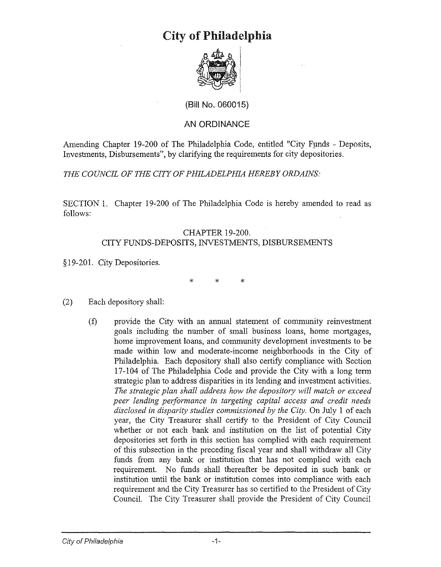# City of Philadelphia



### (Bill No. 060015)

#### AN ORDINANCE

Amending Chapter 19-200 of The Philadelphia Code, entitled "City Funds - Deposits, Investments, Disbursements", by clarifying the requirements for city depositories.

*THE COUNCIL OF THE CITY OF PHILADELPHIA HEREBY ORDAINS:*

SECTION 1. Chapter 19-200 of The Philadelphia Code is hereby amended to read as follows:

#### CHAPTER 19-200. CITY FUNDS-DEPOSITS, INVESTMENTS, DISBURSEMENTS

§19-201. City Depositories.

\* \* \*

- (2) Each depository shall:
	- (f) provide the City with an annual statement of community reinvestment goals including the number of small business loans, home mortgages, home improvement loans, and community development investments to be made within low and moderate-income neighborhoods in the City of Philadelphia. Each depository shall also certify compliance with Section 17-104 of The Philadelphia Code and provide the City with a long term strategic plan to address disparities in its lending and investment activities. *The strategic plan shall address how the depository will match or exceed peer lending performance in targeting capital access and credit needs disclosed in disparity studies commissioned by the City.* On July 1 of each year, the City Treasurer shall certify to the President of City Council whether or not each bank and institution on the list of potential City depositories set forth in this section has complied with each requirement of this subsection in the preceding fiscal year and shall withdraw all City funds from any bank or institution that has not complied with each requirement. No funds shall thereafter be deposited in such bank or institution until the bank or institution comes into compliance with each requirement and the City Treasurer has so certified to the President of City CounciL The City Treasurer shall provide the President of City Council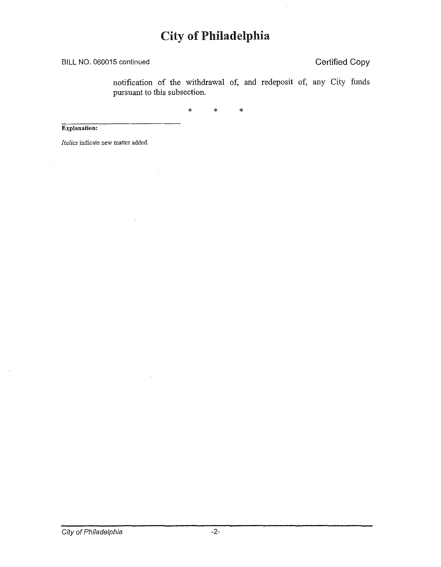# City of Philadelphia

### BILL NO. 060015 continued Certified Copy

notification of the withdrawal of, and redeposit of, any City funds pursuant to this subsection.

\* \* \*

**Explanation:**

*Italics* **indicate new matter added.**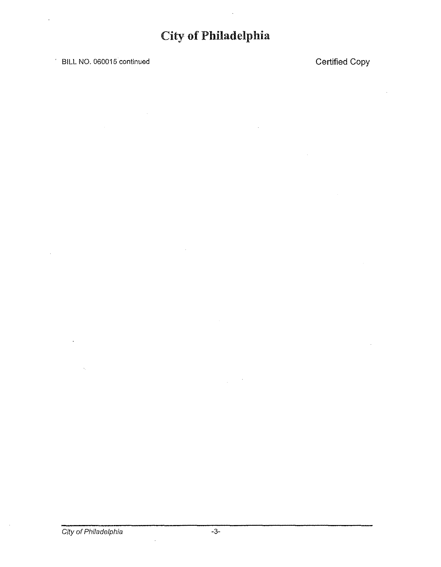# **City of Philadelphia**

# . BILL NO. 060015 continued **Certified Copy**

 $\hat{\mathcal{A}}$ 

 $\sim$ 

*City of Philadelphia* -3-

 $\mathcal{A}$